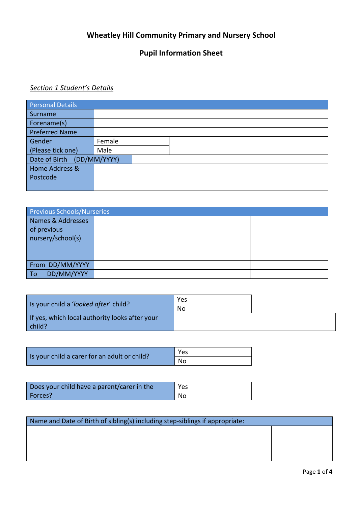## **Wheatley Hill Community Primary and Nursery School**

# **Pupil Information Sheet**

#### *Section 1 Student's Details*

| Personal Details           |        |  |  |
|----------------------------|--------|--|--|
| Surname                    |        |  |  |
| Forename(s)                |        |  |  |
| <b>Preferred Name</b>      |        |  |  |
| Gender                     | Female |  |  |
| (Please tick one)          | Male   |  |  |
| Date of Birth (DD/MM/YYYY) |        |  |  |
| Home Address &             |        |  |  |
| Postcode                   |        |  |  |
|                            |        |  |  |

| <b>Previous Schools/Nurseries</b>                     |  |  |
|-------------------------------------------------------|--|--|
| Names & Addresses<br>of previous<br>nursery/school(s) |  |  |
| From DD/MM/YYYY                                       |  |  |
| DD/MM/YYYY<br>$\overline{a}$                          |  |  |

| Is your child a 'looked after' child?                    | Yes |  |
|----------------------------------------------------------|-----|--|
|                                                          | No  |  |
| If yes, which local authority looks after your<br>child? |     |  |

|                                              | Yes |  |
|----------------------------------------------|-----|--|
| Is your child a carer for an adult or child? | No  |  |

| Does your child have a parent/carer in the | Yes |  |
|--------------------------------------------|-----|--|
| Forces?                                    | No. |  |

| Name and Date of Birth of sibling(s) including step-siblings if appropriate: |  |  |  |  |  |  |
|------------------------------------------------------------------------------|--|--|--|--|--|--|
|                                                                              |  |  |  |  |  |  |
|                                                                              |  |  |  |  |  |  |
|                                                                              |  |  |  |  |  |  |
|                                                                              |  |  |  |  |  |  |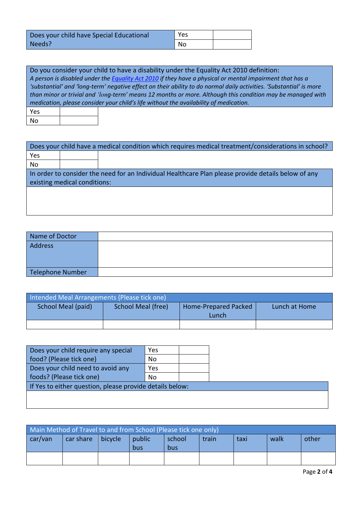| Does your child have Special Educational | Yes |  |
|------------------------------------------|-----|--|
| Needs?                                   | No. |  |

Do you consider your child to have a disability under the Equality Act 2010 definition: *A person is disabled under the [Equality Act 2010](http://www.legislation.gov.uk/ukpga/2010/15/section/6) if they have a physical or mental impairment that has a 'substantial' and 'long-term' negative effect on their ability to do normal daily activities. 'Substantial' is more than minor or trivial and 'long-term' means 12 months or more. Although this condition may be managed with medication, please consider your child's life without the availability of medication.* Yes

No

| Does your child have a medical condition which requires medical treatment/considerations in school? |                              |                                                                                                     |  |  |  |  |
|-----------------------------------------------------------------------------------------------------|------------------------------|-----------------------------------------------------------------------------------------------------|--|--|--|--|
| Yes                                                                                                 |                              |                                                                                                     |  |  |  |  |
| <b>No</b>                                                                                           |                              |                                                                                                     |  |  |  |  |
|                                                                                                     |                              | In order to consider the need for an Individual Healthcare Plan please provide details below of any |  |  |  |  |
|                                                                                                     | existing medical conditions: |                                                                                                     |  |  |  |  |
|                                                                                                     |                              |                                                                                                     |  |  |  |  |
|                                                                                                     |                              |                                                                                                     |  |  |  |  |
|                                                                                                     |                              |                                                                                                     |  |  |  |  |

| Name of Doctor   |  |
|------------------|--|
| Address          |  |
| Telephone Number |  |

| Intended Meal Arrangements (Please tick one) |                    |                               |               |  |  |  |  |  |
|----------------------------------------------|--------------------|-------------------------------|---------------|--|--|--|--|--|
| School Meal (paid)                           | School Meal (free) | Home-Prepared Packed<br>Lunch | Lunch at Home |  |  |  |  |  |
|                                              |                    |                               |               |  |  |  |  |  |

| Does your child require any special                      | Yes       |  |  |  |  |
|----------------------------------------------------------|-----------|--|--|--|--|
| food? (Please tick one)                                  | <b>No</b> |  |  |  |  |
| Does your child need to avoid any                        | Yes       |  |  |  |  |
| foods? (Please tick one)                                 | No        |  |  |  |  |
| If Yes to either question, please provide details below: |           |  |  |  |  |
|                                                          |           |  |  |  |  |

| Main Method of Travel to and from School (Please tick one only) |                     |  |               |               |       |      |      |       |
|-----------------------------------------------------------------|---------------------|--|---------------|---------------|-------|------|------|-------|
| car/van                                                         | car share   bicycle |  | public<br>bus | school<br>bus | train | taxi | walk | other |
|                                                                 |                     |  |               |               |       |      |      |       |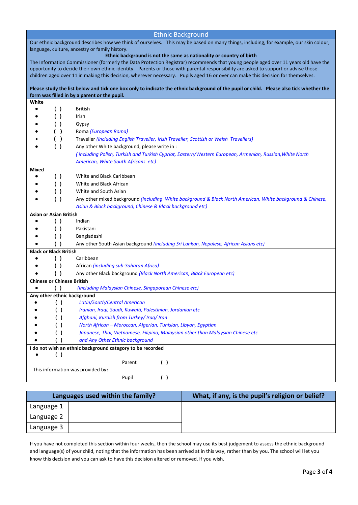| <b>Ethnic Background</b>                                                                                                              |                                                |                                                                                                                                                                                                                                                                           |  |  |  |  |
|---------------------------------------------------------------------------------------------------------------------------------------|------------------------------------------------|---------------------------------------------------------------------------------------------------------------------------------------------------------------------------------------------------------------------------------------------------------------------------|--|--|--|--|
| Our ethnic background describes how we think of ourselves. This may be based on many things, including, for example, our skin colour, |                                                |                                                                                                                                                                                                                                                                           |  |  |  |  |
|                                                                                                                                       | language, culture, ancestry or family history. |                                                                                                                                                                                                                                                                           |  |  |  |  |
|                                                                                                                                       |                                                | Ethnic background is not the same as nationality or country of birth                                                                                                                                                                                                      |  |  |  |  |
|                                                                                                                                       |                                                | The Information Commissioner (formerly the Data Protection Registrar) recommends that young people aged over 11 years old have the<br>opportunity to decide their own ethnic identity. Parents or those with parental responsibility are asked to support or advise those |  |  |  |  |
|                                                                                                                                       |                                                | children aged over 11 in making this decision, wherever necessary. Pupils aged 16 or over can make this decision for themselves.                                                                                                                                          |  |  |  |  |
|                                                                                                                                       |                                                |                                                                                                                                                                                                                                                                           |  |  |  |  |
|                                                                                                                                       |                                                | Please study the list below and tick one box only to indicate the ethnic background of the pupil or child. Please also tick whether the                                                                                                                                   |  |  |  |  |
|                                                                                                                                       |                                                | form was filled in by a parent or the pupil.                                                                                                                                                                                                                              |  |  |  |  |
| White                                                                                                                                 |                                                |                                                                                                                                                                                                                                                                           |  |  |  |  |
|                                                                                                                                       | ( )                                            | <b>British</b>                                                                                                                                                                                                                                                            |  |  |  |  |
|                                                                                                                                       | ( )                                            | Irish                                                                                                                                                                                                                                                                     |  |  |  |  |
|                                                                                                                                       | ( )                                            | Gypsy                                                                                                                                                                                                                                                                     |  |  |  |  |
|                                                                                                                                       | ( )                                            | Roma (European Roma)                                                                                                                                                                                                                                                      |  |  |  |  |
|                                                                                                                                       | ( )                                            | Traveller (including English Traveller, Irish Traveller, Scottish or Welsh Travellers)                                                                                                                                                                                    |  |  |  |  |
|                                                                                                                                       | ( )                                            | Any other White background, please write in :                                                                                                                                                                                                                             |  |  |  |  |
|                                                                                                                                       |                                                | (including Polish, Turkish and Turkish Cypriot, Eastern/Western European, Armenian, Russian, White North                                                                                                                                                                  |  |  |  |  |
|                                                                                                                                       |                                                | American, White South Africans etc)                                                                                                                                                                                                                                       |  |  |  |  |
| Mixed                                                                                                                                 |                                                |                                                                                                                                                                                                                                                                           |  |  |  |  |
|                                                                                                                                       | ( )                                            | White and Black Caribbean                                                                                                                                                                                                                                                 |  |  |  |  |
|                                                                                                                                       | $\left( \quad \right)$                         | White and Black African                                                                                                                                                                                                                                                   |  |  |  |  |
|                                                                                                                                       | $\left( \quad \right)$                         | White and South Asian                                                                                                                                                                                                                                                     |  |  |  |  |
|                                                                                                                                       | ( )                                            | Any other mixed background (including White background & Black North American, White background & Chinese,                                                                                                                                                                |  |  |  |  |
|                                                                                                                                       |                                                | Asian & Black background, Chinese & Black background etc)                                                                                                                                                                                                                 |  |  |  |  |
| <b>Asian or Asian British</b>                                                                                                         |                                                |                                                                                                                                                                                                                                                                           |  |  |  |  |
|                                                                                                                                       | ( )                                            | Indian                                                                                                                                                                                                                                                                    |  |  |  |  |
|                                                                                                                                       | $\left( \quad \right)$                         | Pakistani                                                                                                                                                                                                                                                                 |  |  |  |  |
|                                                                                                                                       | ( )                                            | Bangladeshi                                                                                                                                                                                                                                                               |  |  |  |  |
|                                                                                                                                       | $^{\prime}$                                    | Any other South Asian background (including Sri Lankan, Nepalese, African Asians etc)                                                                                                                                                                                     |  |  |  |  |
| <b>Black or Black British</b>                                                                                                         |                                                |                                                                                                                                                                                                                                                                           |  |  |  |  |
|                                                                                                                                       | $\left( \quad \right)$                         | Caribbean                                                                                                                                                                                                                                                                 |  |  |  |  |
|                                                                                                                                       | ( )                                            | African (including sub-Saharan Africa)                                                                                                                                                                                                                                    |  |  |  |  |
|                                                                                                                                       |                                                | Any other Black background (Black North American, Black European etc)                                                                                                                                                                                                     |  |  |  |  |
| <b>Chinese or Chinese British</b>                                                                                                     |                                                |                                                                                                                                                                                                                                                                           |  |  |  |  |
|                                                                                                                                       |                                                | (including Malaysian Chinese, Singaporean Chinese etc)<br>Any other ethnic background                                                                                                                                                                                     |  |  |  |  |
|                                                                                                                                       | ( )                                            | Latin/South/Central American                                                                                                                                                                                                                                              |  |  |  |  |
|                                                                                                                                       | ()                                             | Iranian, Iraqi, Saudi, Kuwaiti, Palestinian, Jordanian etc                                                                                                                                                                                                                |  |  |  |  |
|                                                                                                                                       |                                                | Afghani, Kurdish from Turkey/ Iraq/ Iran                                                                                                                                                                                                                                  |  |  |  |  |
|                                                                                                                                       | ( )                                            |                                                                                                                                                                                                                                                                           |  |  |  |  |
|                                                                                                                                       | ( )<br>()                                      | North African - Moroccan, Algerian, Tunisian, Libyan, Egyptian<br>Japanese, Thai, Vietnamese, Filipino, Malaysian other than Malaysian Chinese etc                                                                                                                        |  |  |  |  |
|                                                                                                                                       | ( )                                            | and Any Other Ethnic background                                                                                                                                                                                                                                           |  |  |  |  |
|                                                                                                                                       |                                                | I do not wish an ethnic background category to be recorded                                                                                                                                                                                                                |  |  |  |  |
|                                                                                                                                       | ( )                                            |                                                                                                                                                                                                                                                                           |  |  |  |  |
|                                                                                                                                       |                                                | $\left( \quad \right)$<br>Parent                                                                                                                                                                                                                                          |  |  |  |  |
| This information was provided by:                                                                                                     |                                                |                                                                                                                                                                                                                                                                           |  |  |  |  |
| Pupil<br>$\left( \quad \right)$                                                                                                       |                                                |                                                                                                                                                                                                                                                                           |  |  |  |  |
|                                                                                                                                       |                                                |                                                                                                                                                                                                                                                                           |  |  |  |  |

|            | Languages used within the family? | What, if any, is the pupil's religion or belief? |
|------------|-----------------------------------|--------------------------------------------------|
| Language 1 |                                   |                                                  |
| Language 2 |                                   |                                                  |
| Language 3 |                                   |                                                  |

If you have not completed this section within four weeks, then the school may use its best judgement to assess the ethnic background and language(s) of your child, noting that the information has been arrived at in this way, rather than by you. The school will let you know this decision and you can ask to have this decision altered or removed, if you wish.